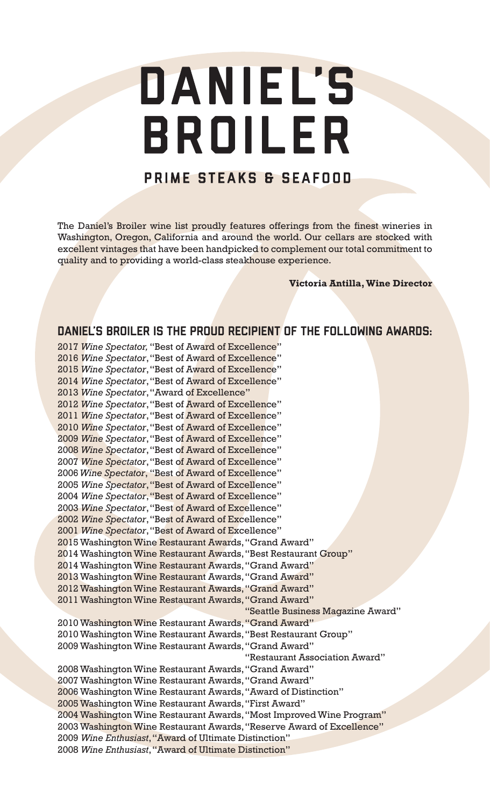# DANIEL'S BROILER

## PRIME STEAKS & SEAFOOD

The Daniel's Broiler wine list proudly features offerings from the finest wineries in Washington, Oregon, California and around the world. Our cellars are stocked with excellent vintages that have been handpicked to complement our total commitment to quality and to providing a world-class steakhouse experience.

**Victoria Antilla, Wine Director**

## DANIEL'S BROILER IS THE PROUD RECIPIENT OF THE FOLLOWING AWARDS:

2017 *Wine Spectator,* "Best of Award of Excellence" 2016 *Wine Spectator*,"Best of Award of Excellence" 2015 *Wine Spectator*,"Best of Award of Excellence" 2014 *Wine Spectator*,"Best of Award of Excellence" 2013 *Wine Spectator*,"Award of Excellence" 2012 *Wine Spectator*,"Best of Award of Excellence" 2011 *Wine Spectator*,"Best of Award of Excellence" 2010 *Wine Spectator*,"Best of Award of Excellence" 2009 *Wine Spectator*,"Best of Award of Excellence" 2008 *Wine Spectator*,"Best of Award of Excellence" 2007 *Wine Spectator*,"Best of Award of Excellence" 2006 *Wine Spectator*, "Best of Award of Excellence" 2005 *Wine Spectator*,"Best of Award of Excellence" 2004 *Wine Spectator*,"Best of Award of Excellence" 2003 *Wine Spectator*,"Best of Award of Excellence" 2002 *Wine Spectator*,"Best of Award of Excellence" 2001 *Wine Spectator*,"Best of Award of Excellence" 2015 Washington Wine Restaurant Awards, "Grand Award" 2014 Washington Wine Restaurant Awards, "Best Restaurant Group" 2014 Washington Wine Restaurant Awards, "Grand Award" 2013 Washington Wine Restaurant Awards, "Grand Award" 2012 Washington Wine Restaurant Awards, "Grand Award" 2011 Washington Wine Restaurant Awards, "Grand Award" "Seattle Business Magazine Award" 2010 Washington Wine Restaurant Awards, "Grand Award" 2010 Washington Wine Restaurant Awards, "Best Restaurant Group" 2009 Washington Wine Restaurant Awards, "Grand Award" "Restaurant Association Award" 2008 Washington Wine Restaurant Awards, "Grand Award" 2007 Washington Wine Restaurant Awards, "Grand Award" 2006 Washington Wine Restaurant Awards, "Award of Distinction" 2005 Washington Wine Restaurant Awards, "First Award" 2004 Washington Wine Restaurant Awards, "Most Improved Wine Program" 2003 Washington Wine Restaurant Awards, "Reserve Award of Excellence" 2009 *Wine Enthusiast*, "Award of Ultimate Distinction" 2008 *Wine Enthusiast*, "Award of Ultimate Distinction"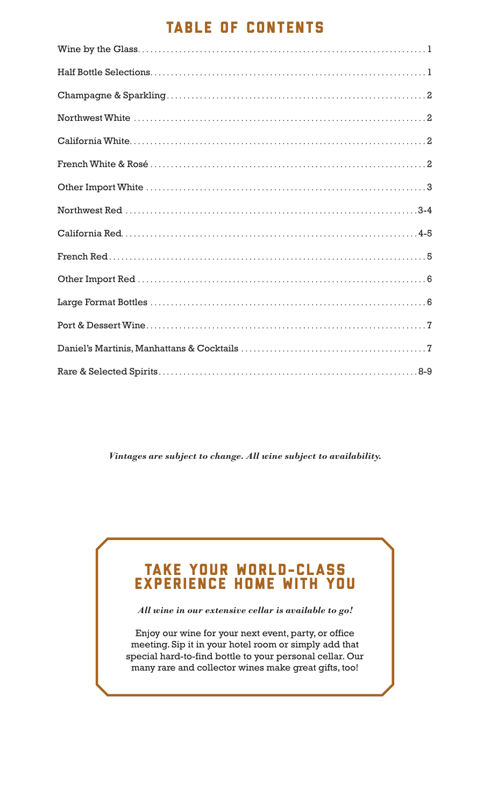## TABLE OF CONTENTS

*Vintages are subject to change. All wine subject to availability.*

## TAKE YOUR WORLD-CLASS EXPERIENCE HOME WITH YOU

*All wine in our extensive cellar is available to go!*

Enjoy our wine for your next event, party, or office meeting. Sip it in your hotel room or simply add that special hard-to-find bottle to your personal cellar. Our many rare and collector wines make great gifts, too!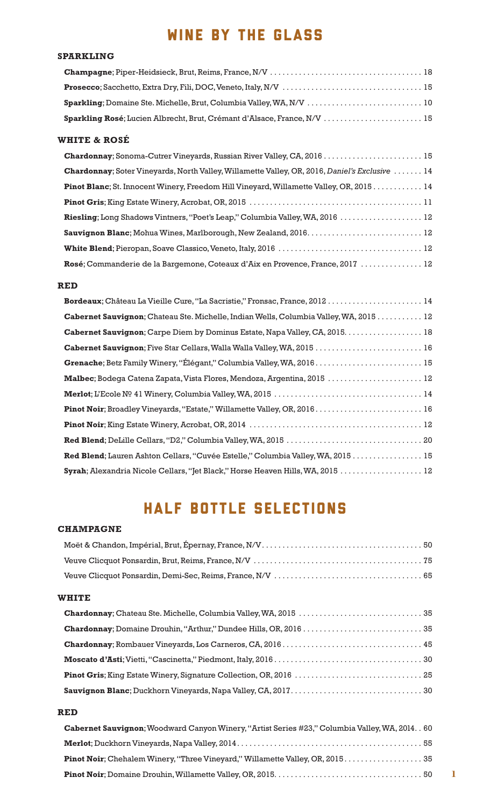## WINE BY THE GLASS

#### **SPARKLING**

#### **WHITE & ROSÉ**

| <b>Chardonnay</b> ; Soter Vineyards, North Valley, Willamette Valley, OR, 2016, Daniel's Exclusive  14 |
|--------------------------------------------------------------------------------------------------------|
| <b>Pinot Blanc</b> ; St. Innocent Winery, Freedom Hill Vineyard, Willamette Valley, OR, 2015 14        |
|                                                                                                        |
| Riesling; Long Shadows Vintners, "Poet's Leap," Columbia Valley, WA, 2016  12                          |
|                                                                                                        |
|                                                                                                        |
| Rosé; Commanderie de la Bargemone, Coteaux d'Aix en Provence, France, 2017  12                         |

#### **RED**

| Bordeaux; Château La Vieille Cure, "La Sacristie," Fronsac, France, 2012 14                   |
|-----------------------------------------------------------------------------------------------|
| <b>Cabernet Sauvignon</b> ; Chateau Ste. Michelle, Indian Wells, Columbia Valley, WA, 2015 12 |
| Cabernet Sauvignon; Carpe Diem by Dominus Estate, Napa Valley, CA, 2015.  18                  |
| Cabernet Sauvignon; Five Star Cellars, Walla Walla Valley, WA, 2015  16                       |
|                                                                                               |
| Malbec; Bodega Catena Zapata, Vista Flores, Mendoza, Argentina, 2015  12                      |
|                                                                                               |
|                                                                                               |
|                                                                                               |
|                                                                                               |
| Red Blend; Lauren Ashton Cellars, "Cuvée Estelle," Columbia Valley, WA, 2015 15               |
| Syrah; Alexandria Nicole Cellars, "Jet Black," Horse Heaven Hills, WA, 2015  12               |

# HALF BOTTLE SELECTIONS

#### **CHAMPAGNE**

#### **WHITE**

#### **RED**

| <b>Cabernet Sauvignon</b> ; Woodward Canyon Winery, "Artist Series #23," Columbia Valley, WA, 2014. . 60 |  |
|----------------------------------------------------------------------------------------------------------|--|
|                                                                                                          |  |
|                                                                                                          |  |
|                                                                                                          |  |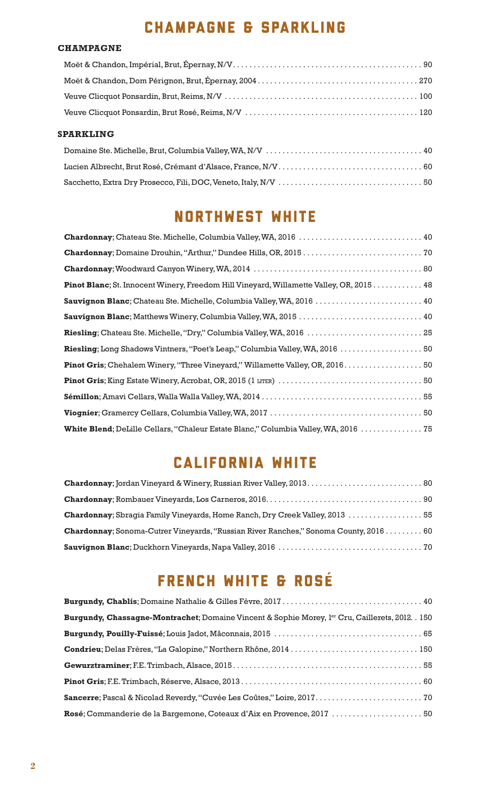# CHAMPAGNE & SPARKLING

#### **CHAMPAGNE**

#### **SPARKLING**

## NORTHWEST WHITE

| Chardonnay; Chateau Ste. Michelle, Columbia Valley, WA, 2016  40                                |
|-------------------------------------------------------------------------------------------------|
|                                                                                                 |
|                                                                                                 |
| <b>Pinot Blanc</b> ; St. Innocent Winery, Freedom Hill Vineyard, Willamette Valley, OR, 2015 48 |
| Sauvignon Blanc; Chateau Ste. Michelle, Columbia Valley, WA, 2016  40                           |
|                                                                                                 |
| Riesling; Chateau Ste. Michelle, "Dry," Columbia Valley, WA, 2016  25                           |
| Riesling; Long Shadows Vintners, "Poet's Leap," Columbia Valley, WA, 2016  50                   |
| Pinot Gris; Chehalem Winery, "Three Vineyard," Willamette Valley, OR, 2016 50                   |
|                                                                                                 |
|                                                                                                 |
|                                                                                                 |
| White Blend; DeLille Cellars, "Chaleur Estate Blanc," Columbia Valley, WA, 2016  75             |

## CALIFORNIA WHITE

| Chardonnay; Sbragia Family Vineyards, Home Ranch, Dry Creek Valley, 2013  55                 |  |
|----------------------------------------------------------------------------------------------|--|
| <b>Chardonnay</b> ; Sonoma-Cutrer Vineyards, "Russian River Ranches," Sonoma County, 2016 60 |  |
|                                                                                              |  |

# FRENCH WHITE & ROSÉ

| Burgundy, Chassagne-Montrachet; Domaine Vincent & Sophie Morey, l <sup>er</sup> Cru, Caillerets, 2012. . 150 |  |
|--------------------------------------------------------------------------------------------------------------|--|
|                                                                                                              |  |
| Condrieu; Delas Frères, "La Galopine," Northern Rhône, 2014  150                                             |  |
|                                                                                                              |  |
|                                                                                                              |  |
|                                                                                                              |  |
|                                                                                                              |  |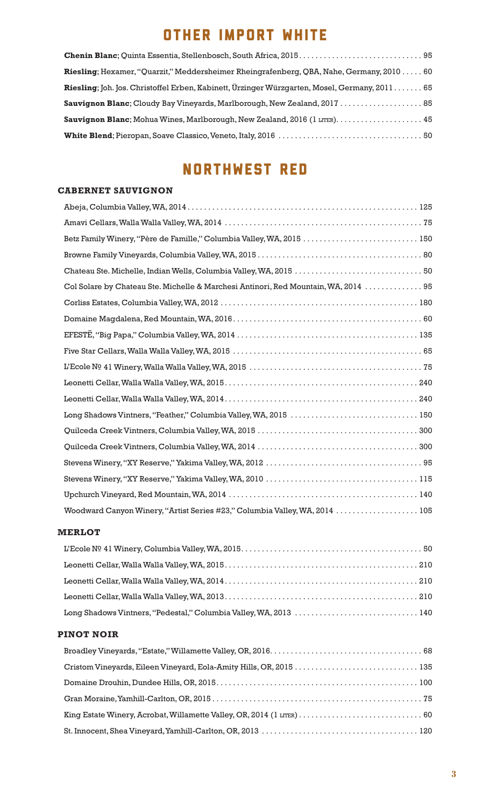# OTHER IMPORT WHITE

| Riesling; Hexamer, "Quarzit," Meddersheimer Rheingrafenberg, QBA, Nahe, Germany, 2010 60      |  |
|-----------------------------------------------------------------------------------------------|--|
| Riesling; Joh. Jos. Christoffel Erben, Kabinett, Ürzinger Würzgarten, Mosel, Germany, 2011 65 |  |
| Sauvignon Blanc; Cloudy Bay Vineyards, Marlborough, New Zealand, 2017  85                     |  |
| Sauvignon Blanc; Mohua Wines, Marlborough, New Zealand, 2016 (1 LITER).  45                   |  |
|                                                                                               |  |

# NORTHWEST RED

#### **CABERNET SAUVIGNON**

| Betz Family Winery, "Père de Famille," Columbia Valley, WA, 2015  150               |
|-------------------------------------------------------------------------------------|
|                                                                                     |
|                                                                                     |
| Col Solare by Chateau Ste. Michelle & Marchesi Antinori, Red Mountain, WA, 2014  95 |
|                                                                                     |
|                                                                                     |
|                                                                                     |
|                                                                                     |
|                                                                                     |
|                                                                                     |
|                                                                                     |
| Long Shadows Vintners, "Feather," Columbia Valley, WA, 2015  150                    |
|                                                                                     |
|                                                                                     |
|                                                                                     |
|                                                                                     |
|                                                                                     |
| Woodward Canyon Winery, "Artist Series #23," Columbia Valley, WA, 2014  105         |

#### **MERLOT**

| Long Shadows Vintners, "Pedestal," Columbia Valley, WA, 2013  140 |  |
|-------------------------------------------------------------------|--|

#### **PINOT NOIR**

| Cristom Vineyards, Eileen Vineyard, Eola-Amity Hills, OR, 2015  135 |  |
|---------------------------------------------------------------------|--|
|                                                                     |  |
|                                                                     |  |
|                                                                     |  |
|                                                                     |  |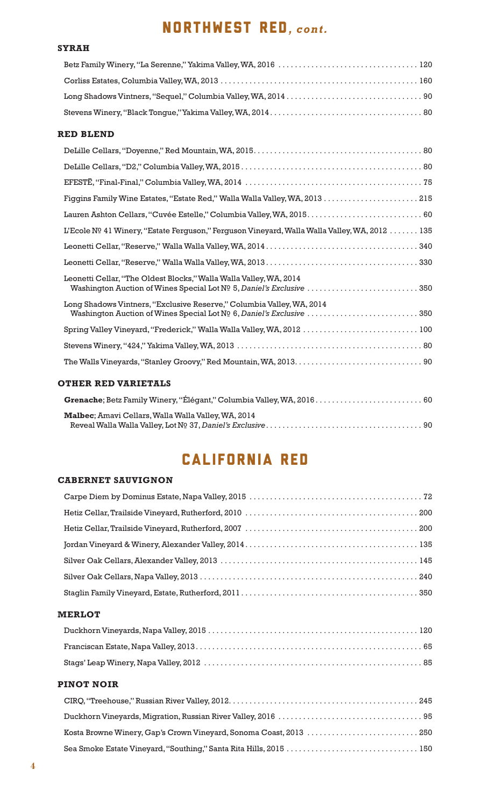# NORTHWEST RED*, cont.*

#### **SYRAH**

#### **RED BLEND**

| Figgins Family Wine Estates, "Estate Red," Walla Walla Valley, WA, 2013  215                                                                  |
|-----------------------------------------------------------------------------------------------------------------------------------------------|
| Lauren Ashton Cellars, "Cuvée Estelle," Columbia Valley, WA, 2015.  60                                                                        |
| L'Ecole Nº 41 Winery, "Estate Ferguson," Ferguson Vineyard, Walla Walla Valley, WA, 2012 135                                                  |
|                                                                                                                                               |
|                                                                                                                                               |
| Leonetti Cellar, "The Oldest Blocks," Walla Walla Valley, WA, 2014<br>Washington Auction of Wines Special Lot Nº 5, Daniel's Exclusive 350    |
| Long Shadows Vintners, "Exclusive Reserve," Columbia Valley, WA, 2014<br>Washington Auction of Wines Special Lot Nº 6, Daniel's Exclusive 350 |
| Spring Valley Vineyard, "Frederick," Walla Walla Valley, WA, 2012  100                                                                        |
|                                                                                                                                               |
|                                                                                                                                               |
| <b>OTHER RED VARIETALS</b>                                                                                                                    |
| Grenache; Betz Family Winery, "Élégant," Columbia Valley, WA, 2016 60                                                                         |

| Malbec; Amavi Cellars, Walla Walla Valley, WA, 2014 |  |
|-----------------------------------------------------|--|
|                                                     |  |

# CALIFORNIA RED

#### **CABERNET SAUVIGNON**

#### **MERLOT**

#### **PINOT NOIR**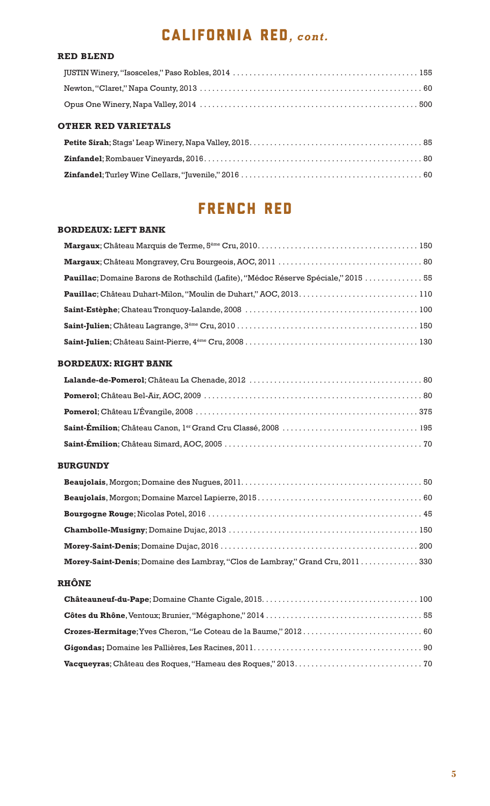# CALIFORNIA RED*, cont.*

#### **RED BLEND**

#### **OTHER RED VARIETALS**

## FRENCH RED

#### **BORDEAUX: LEFT BANK**

| Pauillac; Domaine Barons de Rothschild (Lafite), "Médoc Réserve Spéciale," 2015  55 |
|-------------------------------------------------------------------------------------|
|                                                                                     |
|                                                                                     |
|                                                                                     |
|                                                                                     |

#### **BORDEAUX: RIGHT BANK**

#### **BURGUNDY**

| Morey-Saint-Denis; Domaine des Lambray, "Clos de Lambray," Grand Cru, 2011330 |  |
|-------------------------------------------------------------------------------|--|

#### **RHÔNE**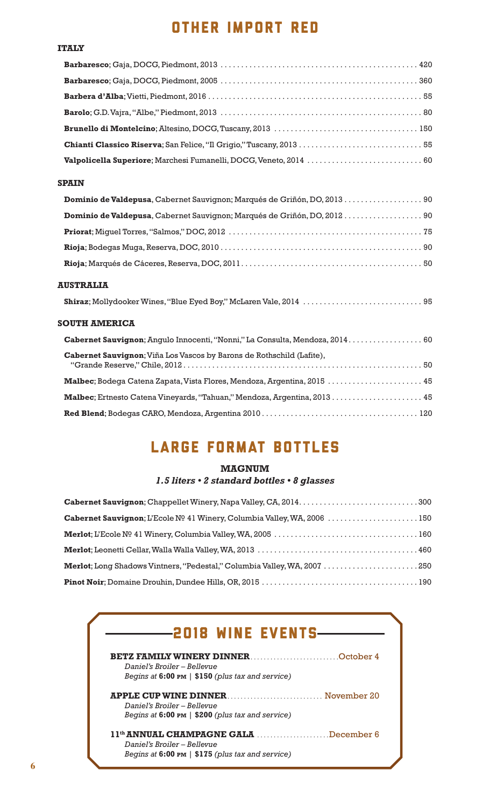## OTHER IMPORT RED

#### **ITALY**

| Chianti Classico Riserva; San Felice, "Il Grigio," Tuscany, 2013  55 |  |
|----------------------------------------------------------------------|--|
| Valpolicella Superiore; Marchesi Fumanelli, DOCG, Veneto, 2014  60   |  |

#### **SPAIN**

| Dominio de Valdepusa, Cabernet Sauvignon; Marqués de Griñón, DO, 2013  90 |
|---------------------------------------------------------------------------|
|                                                                           |
|                                                                           |
|                                                                           |
|                                                                           |
| <b>AUSTRALIA</b>                                                          |

#### **Shiraz**; Mollydooker Wines, "Blue Eyed Boy," McLaren Vale, 2014 . . . . . . . . . . . . . . . . . . . . . . . . . . . . . 95

#### **SOUTH AMERICA**

| Gabernet Sauvignon; Angulo Innocenti, "Nonni," La Consulta, Mendoza, 2014 60 |
|------------------------------------------------------------------------------|
| Cabernet Sauvignon; Viña Los Vascos by Barons de Rothschild (Lafite),        |
| Malbec; Bodega Catena Zapata, Vista Flores, Mendoza, Argentina, 2015  45     |
| Malbec; Ertnesto Catena Vineyards, "Tahuan," Mendoza, Argentina, 2013 45     |
|                                                                              |
|                                                                              |

# LARGE FORMAT BOTTLES

#### **MAGNUM** *1.5 liters • 2 standard bottles • 8 glasses*

| Cabernet Sauvignon; L'Ecole № 41 Winery, Columbia Valley, WA, 2006  150  |  |
|--------------------------------------------------------------------------|--|
|                                                                          |  |
|                                                                          |  |
| Merlot; Long Shadows Vintners, "Pedestal," Columbia Valley, WA, 2007 250 |  |
|                                                                          |  |

|                                                             | <b>BETZ FAMILY WINERY DINNER</b> NEWSTAPH October 4      |
|-------------------------------------------------------------|----------------------------------------------------------|
| Daniel's Broiler – Bellevue                                 |                                                          |
| Begins at $6:00 \text{ pm }  $ \$150 (plus tax and service) |                                                          |
|                                                             |                                                          |
| Daniel's Broiler – Bellevue                                 |                                                          |
| Begins at $6:00 \text{ pm}$   \$200 (plus tax and service)  |                                                          |
|                                                             | 11 <sup>th</sup> <b>ANNUAL CHAMPAGNE GALA</b> December 6 |
| Daniel's Broiler – Bellevue                                 |                                                          |
| Begins at 6:00 PM   \$175 (plus tax and service)            |                                                          |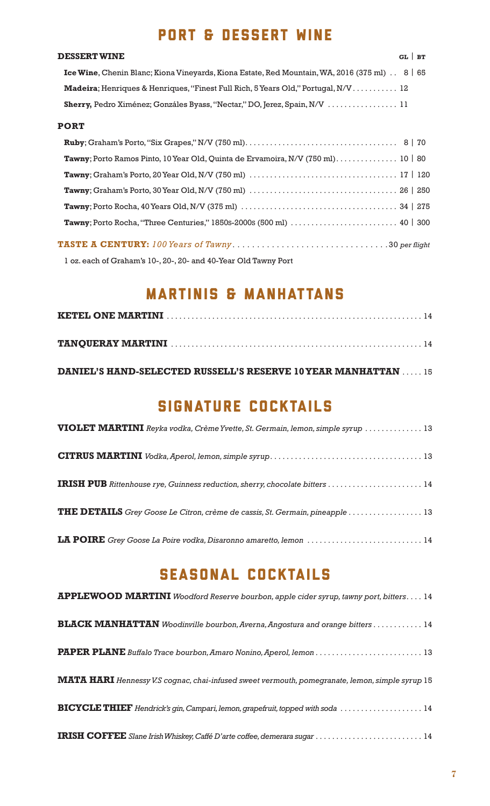## PORT & DESSERT WINE

#### **DESSERT WINE** GL | **bt**

| <b>Ice Wine, Chenin Blanc; Kiona Vineyards, Kiona Estate, Red Mountain, WA, 2016 (375 ml)</b> . 8 $\mid$ 65 |  |
|-------------------------------------------------------------------------------------------------------------|--|
| Madeira; Henriques & Henriques, "Finest Full Rich, 5 Years Old," Portugal, N/V 12                           |  |
|                                                                                                             |  |

#### **PORT**

| <b>Tawny</b> ; Porto Rocha, 40 Years Old, N/V (375 ml) $\ldots \ldots \ldots \ldots \ldots \ldots \ldots \ldots \ldots \ldots \ldots$ 34   275 |  |
|------------------------------------------------------------------------------------------------------------------------------------------------|--|
|                                                                                                                                                |  |
|                                                                                                                                                |  |

1 oz. each of Graham's 10-, 20-, 20- and 40-Year Old Tawny Port

## MARTINIS & MANHATTANS

**DANIEL'S HAND-SELECTED RUSSELL'S RESERVE 10 YEAR MANHATTAN** . . . . . 15

## SIGNATURE COCKTAILS

| VIOLET MARTINI Reyka vodka, Crème Yvette, St. Germain, lemon, simple syrup  13      |
|-------------------------------------------------------------------------------------|
|                                                                                     |
|                                                                                     |
| <b>THE DETAILS</b> Grey Goose Le Citron, crème de cassis, St. Germain, pineapple 13 |
| LA POIRE Grey Goose La Poire vodka, Disaronno amaretto, lemon  14                   |

## SEasonal cocktails

| APPLEWOOD MARTINI Woodford Reserve bourbon, apple cider syrup, tawny port, bitters. 14          |
|-------------------------------------------------------------------------------------------------|
| <b>BLACK MANHATTAN</b> Woodinville bourbon, Averna, Angostura and orange bitters 14             |
|                                                                                                 |
| MATA HARI Hennessy V.S cognac, chai-infused sweet vermouth, pomegranate, lemon, simple syrup 15 |
| BICYCLE THIEF Hendrick's gin, Campari, lemon, grapefruit, topped with soda  14                  |
|                                                                                                 |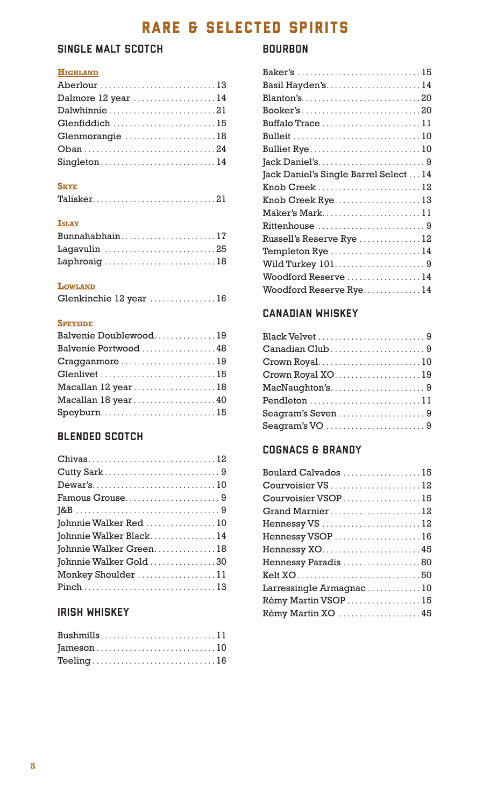# RARE & SELECTED SPIRITS

## SINGLE MALT SCOTCH

#### **Highland**

| Aberlour 13        |  |
|--------------------|--|
| Dalmore 12 year 14 |  |
| Dalwhinnie21       |  |
| Glenfiddich 15     |  |
| Glenmorangie 18    |  |
|                    |  |
| Singleton14        |  |

#### **Skye**

|--|--|--|--|--|--|--|--|--|--|--|--|--|--|--|--|--|--|--|--|--|--|--|--|--|--|--|--|--|--|--|--|

#### **Islay**

| Bunnahabhain17 |  |  |  |  |  |  |  |  |
|----------------|--|--|--|--|--|--|--|--|
| Lagavulin 25   |  |  |  |  |  |  |  |  |
| Laphroaig 18   |  |  |  |  |  |  |  |  |

#### **Lowland**

| Glenkinchie 12 year 16 |  |  |  |  |  |  |  |  |  |
|------------------------|--|--|--|--|--|--|--|--|--|
|                        |  |  |  |  |  |  |  |  |  |

#### **Speyside**

| Balvenie Doublewood19 |  |
|-----------------------|--|
| Balvenie Portwood  48 |  |
| Cragganmore 19        |  |
| Glenlivet 15          |  |
| Macallan 12 year18    |  |
| Macallan 18 year40    |  |
| Speyburn15            |  |

## BLENDED SCOTCH

| Chivas12               |
|------------------------|
|                        |
| Dewar's10              |
| Famous Grouse9         |
|                        |
| Johnnie Walker Red 10  |
| Johnnie Walker Black14 |
| Johnnie Walker Green18 |
| Johnnie Walker Gold 30 |
| Monkey Shoulder 11     |
|                        |

## IRISH WHISKEY

| Bushmills11 |  |  |  |  |  |  |  |  |  |  |  |  |
|-------------|--|--|--|--|--|--|--|--|--|--|--|--|
|             |  |  |  |  |  |  |  |  |  |  |  |  |
| Teeling16   |  |  |  |  |  |  |  |  |  |  |  |  |

## BOURBON

| Baker's 15                                      |
|-------------------------------------------------|
| Basil Hayden's14                                |
|                                                 |
|                                                 |
| Buffalo Trace 11                                |
|                                                 |
| Bulliet Rye 10                                  |
|                                                 |
| Jack Daniel's Single Barrel Select 14           |
| Knob Creek 12                                   |
| $Knob$ Creek Rye13                              |
| Maker's Mark11                                  |
| Rittenhouse 9                                   |
| Russell's Reserve Rye $\dots\dots\dots\dots 12$ |
| Templeton $Rye$ 14                              |
| Wild Turkey 1019                                |
| Woodford Reserve 14                             |
| Woodford Reserve Rye 14                         |
|                                                 |

## CANADIAN WHISKEY

| Canadian Club9                                                                               |
|----------------------------------------------------------------------------------------------|
|                                                                                              |
| $\operatorname{Crown}$ Royal XO $\ldots \ldots \ldots \ldots \ldots \ldots 19$               |
| $\textsf{MacNaughton's.}\dots\dots\dots\dots\dots\dots\,9$                                   |
|                                                                                              |
| $\texttt{Seagram's Seven} \dots \dots \dots \dots \dots \dots \dots \dots \dots \dots \dots$ |
|                                                                                              |
|                                                                                              |

## COGNACS & BRANDY

| Boulard Calvados 15     |  |
|-------------------------|--|
| Courvoisier VS  12      |  |
| Courvoisier VSOP15      |  |
| Grand Marnier12         |  |
| Hennessy VS 12          |  |
| Hennessy VSOP 16        |  |
|                         |  |
| Hennessy Paradis 80     |  |
|                         |  |
| Larressingle Armagnac10 |  |
| Rémy Martin VSOP 15     |  |
| Rémy Martin XO 45       |  |